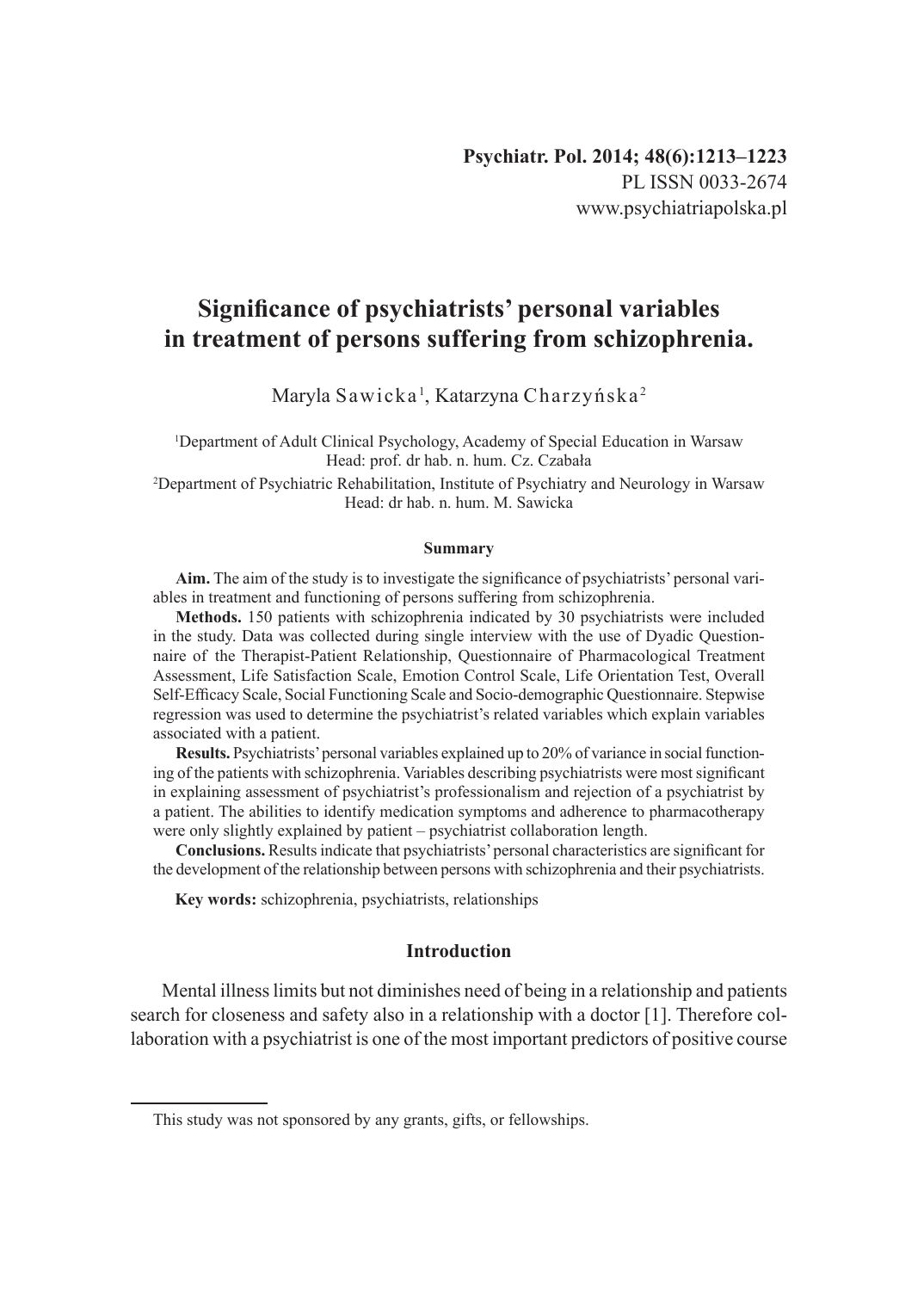# **Significance of psychiatrists' personal variables in treatment of persons suffering from schizophrenia.**

Maryla Sawicka', Katarzyna Charzyńska<sup>2</sup>

1 Department of Adult Clinical Psychology, Academy of Special Education in Warsaw Head: prof. dr hab. n. hum. Cz. Czabała

2 Department of Psychiatric Rehabilitation, Institute of Psychiatry and Neurology in Warsaw Head: dr hab. n. hum. M. Sawicka

#### **Summary**

**Aim.** The aim of the study is to investigate the significance of psychiatrists' personal variables in treatment and functioning of persons suffering from schizophrenia.

**Methods.** 150 patients with schizophrenia indicated by 30 psychiatrists were included in the study. Data was collected during single interview with the use of Dyadic Questionnaire of the Therapist-Patient Relationship, Questionnaire of Pharmacological Treatment Assessment, Life Satisfaction Scale, Emotion Control Scale, Life Orientation Test, Overall Self-Efficacy Scale, Social Functioning Scale and Socio-demographic Questionnaire. Stepwise regression was used to determine the psychiatrist's related variables which explain variables associated with a patient.

**Results.** Psychiatrists' personal variables explained up to 20% of variance in social functioning of the patients with schizophrenia. Variables describing psychiatrists were most significant in explaining assessment of psychiatrist's professionalism and rejection of a psychiatrist by a patient. The abilities to identify medication symptoms and adherence to pharmacotherapy were only slightly explained by patient – psychiatrist collaboration length.

**Conclusions.** Results indicate that psychiatrists' personal characteristics are significant for the development of the relationship between persons with schizophrenia and their psychiatrists.

**Key words:** schizophrenia, psychiatrists, relationships

# **Introduction**

Mental illness limits but not diminishes need of being in a relationship and patients search for closeness and safety also in a relationship with a doctor [1]. Therefore collaboration with a psychiatrist is one of the most important predictors of positive course

This study was not sponsored by any grants, gifts, or fellowships.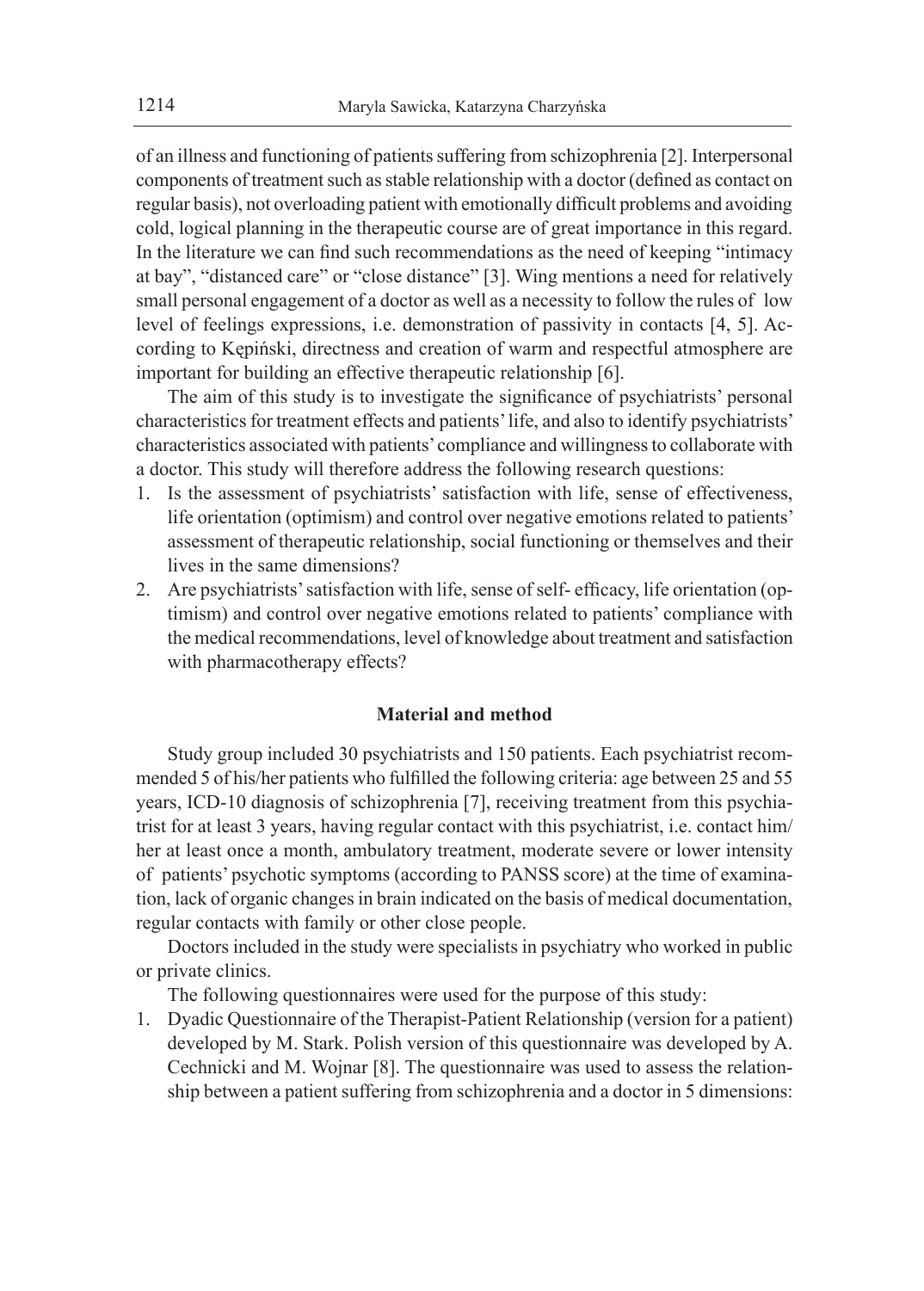of an illness and functioning of patients suffering from schizophrenia [2]. Interpersonal components of treatment such as stable relationship with a doctor (defined as contact on regular basis), not overloading patient with emotionally difficult problems and avoiding cold, logical planning in the therapeutic course are of great importance in this regard. In the literature we can find such recommendations as the need of keeping "intimacy at bay", "distanced care" or "close distance" [3]. Wing mentions a need for relatively small personal engagement of a doctor as well as a necessity to follow the rules of low level of feelings expressions, i.e. demonstration of passivity in contacts [4, 5]. According to Kępiński, directness and creation of warm and respectful atmosphere are important for building an effective therapeutic relationship [6].

The aim of this study is to investigate the significance of psychiatrists' personal characteristics for treatment effects and patients' life, and also to identify psychiatrists' characteristics associated with patients' compliance and willingness to collaborate with a doctor. This study will therefore address the following research questions:

- 1. Is the assessment of psychiatrists' satisfaction with life, sense of effectiveness, life orientation (optimism) and control over negative emotions related to patients' assessment of therapeutic relationship, social functioning or themselves and their lives in the same dimensions?
- 2. Are psychiatrists' satisfaction with life, sense of self- efficacy, life orientation (optimism) and control over negative emotions related to patients' compliance with the medical recommendations, level of knowledge about treatment and satisfaction with pharmacotherapy effects?

#### **Material and method**

Study group included 30 psychiatrists and 150 patients. Each psychiatrist recommended 5 of his/her patients who fulfilled the following criteria: age between 25 and 55 years, ICD-10 diagnosis of schizophrenia [7], receiving treatment from this psychiatrist for at least 3 years, having regular contact with this psychiatrist, i.e. contact him/ her at least once a month, ambulatory treatment, moderate severe or lower intensity of patients' psychotic symptoms (according to PANSS score) at the time of examination, lack of organic changes in brain indicated on the basis of medical documentation, regular contacts with family or other close people.

Doctors included in the study were specialists in psychiatry who worked in public or private clinics.

The following questionnaires were used for the purpose of this study:

1. Dyadic Questionnaire of the Therapist-Patient Relationship (version for a patient) developed by M. Stark. Polish version of this questionnaire was developed by A. Cechnicki and M. Wojnar [8]. The questionnaire was used to assess the relationship between a patient suffering from schizophrenia and a doctor in 5 dimensions: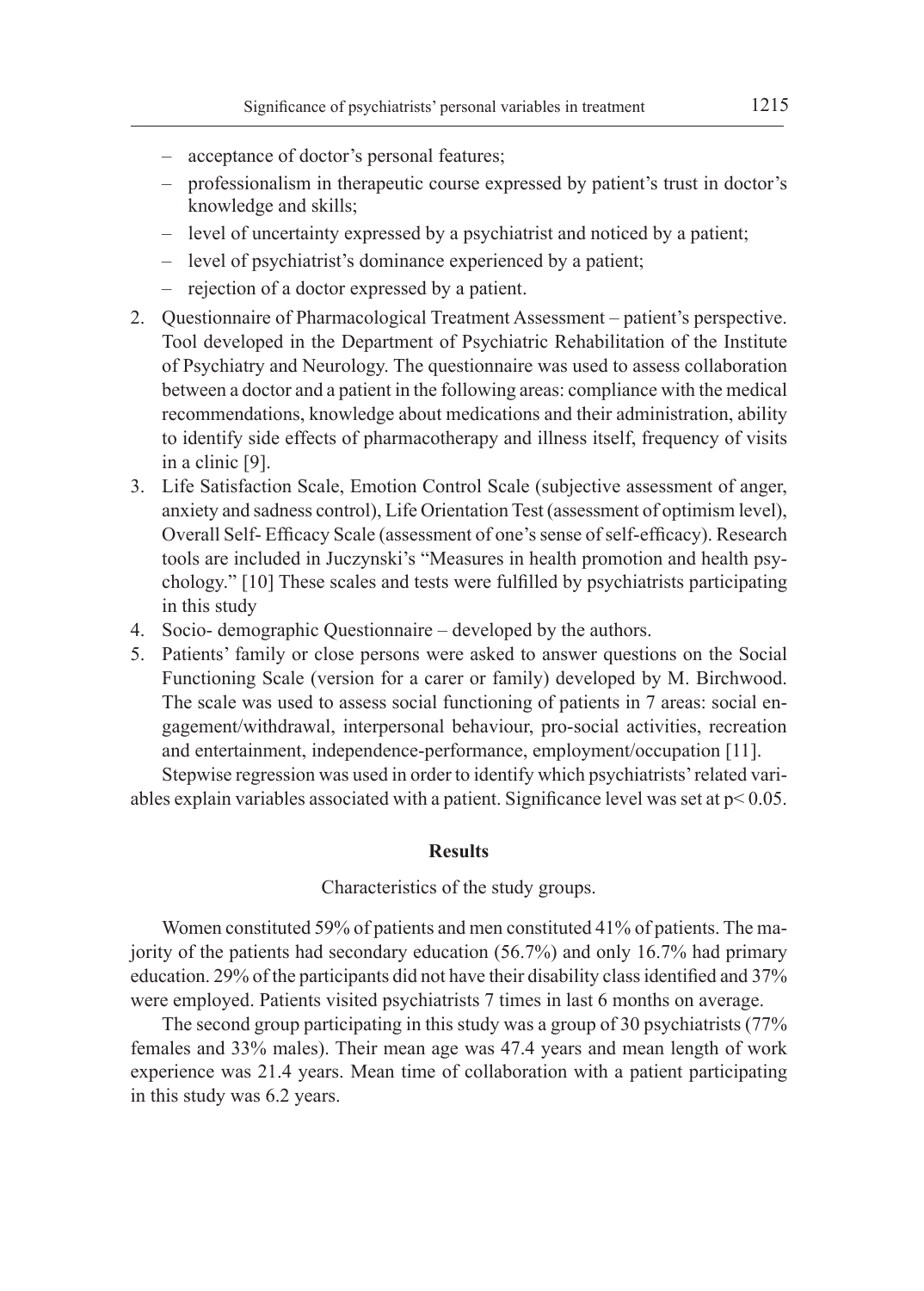- acceptance of doctor's personal features;
- professionalism in therapeutic course expressed by patient's trust in doctor's knowledge and skills;
- level of uncertainty expressed by a psychiatrist and noticed by a patient;
- level of psychiatrist's dominance experienced by a patient;
- rejection of a doctor expressed by a patient.
- 2. Questionnaire of Pharmacological Treatment Assessment patient's perspective. Tool developed in the Department of Psychiatric Rehabilitation of the Institute of Psychiatry and Neurology. The questionnaire was used to assess collaboration between a doctor and a patient in the following areas: compliance with the medical recommendations, knowledge about medications and their administration, ability to identify side effects of pharmacotherapy and illness itself, frequency of visits in a clinic [9].
- 3. Life Satisfaction Scale, Emotion Control Scale (subjective assessment of anger, anxiety and sadness control), Life Orientation Test (assessment of optimism level), Overall Self- Efficacy Scale (assessment of one's sense of self-efficacy). Research tools are included in Juczynski's "Measures in health promotion and health psychology." [10] These scales and tests were fulfilled by psychiatrists participating in this study
- 4. Socio- demographic Questionnaire developed by the authors.
- 5. Patients' family or close persons were asked to answer questions on the Social Functioning Scale (version for a carer or family) developed by M. Birchwood. The scale was used to assess social functioning of patients in 7 areas: social engagement/withdrawal, interpersonal behaviour, pro-social activities, recreation and entertainment, independence-performance, employment/occupation [11].

Stepwise regression was used in order to identify which psychiatrists' related variables explain variables associated with a patient. Significance level was set at  $p < 0.05$ .

#### **Results**

Characteristics of the study groups.

Women constituted 59% of patients and men constituted 41% of patients. The majority of the patients had secondary education (56.7%) and only 16.7% had primary education. 29% of the participants did not have their disability class identified and 37% were employed. Patients visited psychiatrists 7 times in last 6 months on average.

The second group participating in this study was a group of 30 psychiatrists (77% females and 33% males). Their mean age was 47.4 years and mean length of work experience was 21.4 years. Mean time of collaboration with a patient participating in this study was 6.2 years.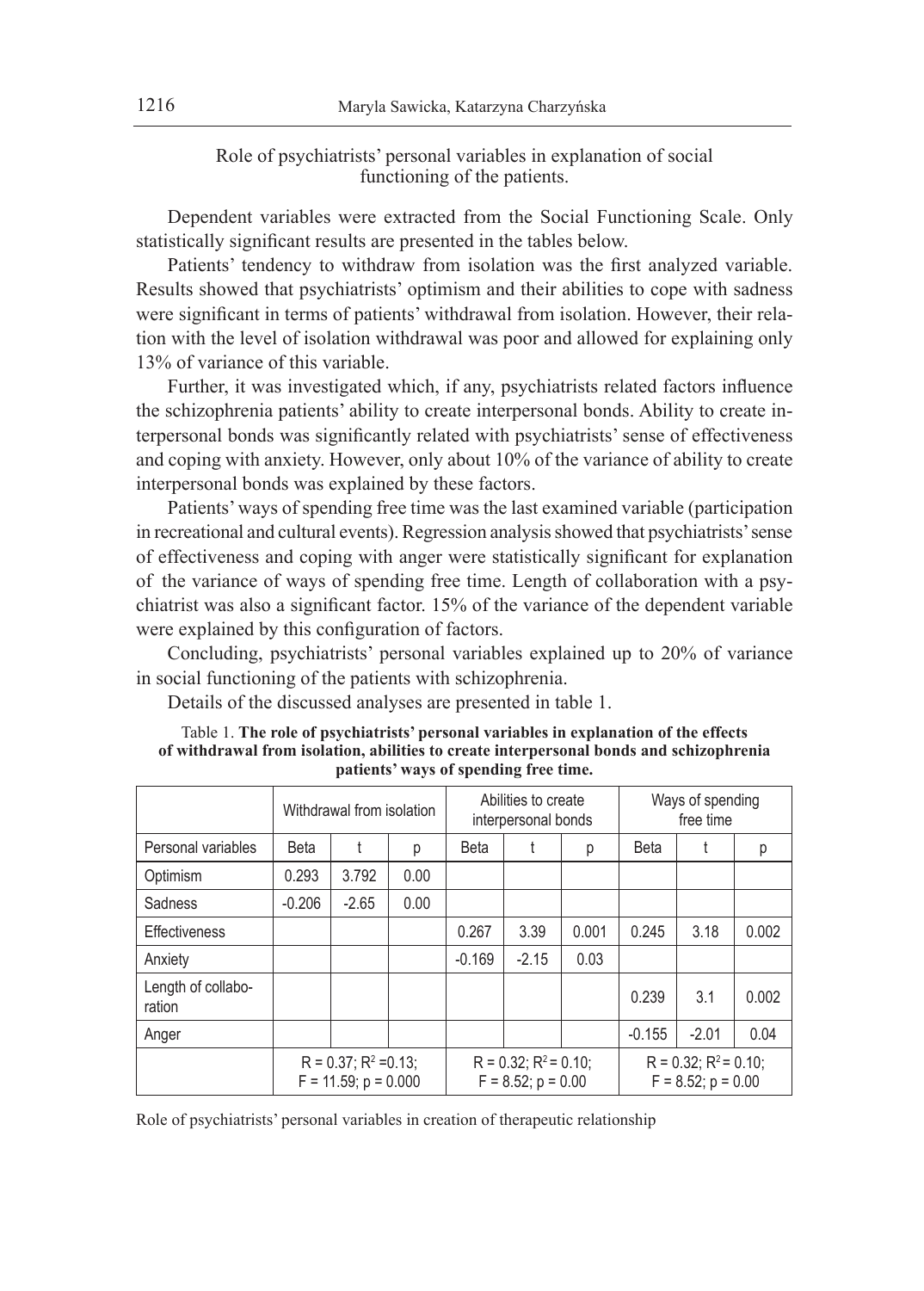Role of psychiatrists' personal variables in explanation of social functioning of the patients.

Dependent variables were extracted from the Social Functioning Scale. Only statistically significant results are presented in the tables below.

Patients' tendency to withdraw from isolation was the first analyzed variable. Results showed that psychiatrists' optimism and their abilities to cope with sadness were significant in terms of patients' withdrawal from isolation. However, their relation with the level of isolation withdrawal was poor and allowed for explaining only 13% of variance of this variable.

Further, it was investigated which, if any, psychiatrists related factors influence the schizophrenia patients' ability to create interpersonal bonds. Ability to create interpersonal bonds was significantly related with psychiatrists' sense of effectiveness and coping with anxiety. However, only about 10% of the variance of ability to create interpersonal bonds was explained by these factors.

Patients' ways of spending free time was the last examined variable (participation in recreational and cultural events). Regression analysis showed that psychiatrists' sense of effectiveness and coping with anger were statistically significant for explanation of the variance of ways of spending free time. Length of collaboration with a psychiatrist was also a significant factor. 15% of the variance of the dependent variable were explained by this configuration of factors.

Concluding, psychiatrists' personal variables explained up to 20% of variance in social functioning of the patients with schizophrenia.

Details of the discussed analyses are presented in table 1.

|                              | Withdrawal from isolation                                |         |      | Abilities to create<br>interpersonal bonds             |         |       | Ways of spending<br>free time                          |         |       |
|------------------------------|----------------------------------------------------------|---------|------|--------------------------------------------------------|---------|-------|--------------------------------------------------------|---------|-------|
| Personal variables           | <b>Beta</b>                                              |         | р    | <b>Beta</b><br>р                                       |         |       | <b>Beta</b>                                            |         | р     |
| Optimism                     | 0.293                                                    | 3.792   | 0.00 |                                                        |         |       |                                                        |         |       |
| Sadness                      | $-0.206$                                                 | $-2.65$ | 0.00 |                                                        |         |       |                                                        |         |       |
| Effectiveness                |                                                          |         |      | 0.267                                                  | 3.39    | 0.001 | 0.245                                                  | 3.18    | 0.002 |
| Anxiety                      |                                                          |         |      | $-0.169$                                               | $-2.15$ | 0.03  |                                                        |         |       |
| Length of collabo-<br>ration |                                                          |         |      |                                                        |         |       | 0.239                                                  | 3.1     | 0.002 |
| Anger                        |                                                          |         |      |                                                        |         |       | $-0.155$                                               | $-2.01$ | 0.04  |
|                              | $R = 0.37$ : $R^2 = 0.13$ :<br>$F = 11.59$ ; $p = 0.000$ |         |      | $R = 0.32$ : $R^2 = 0.10$ :<br>$F = 8.52$ ; $p = 0.00$ |         |       | $R = 0.32$ : $R^2 = 0.10$ :<br>$F = 8.52$ ; $p = 0.00$ |         |       |

#### Table 1. **The role of psychiatrists' personal variables in explanation of the effects of withdrawal from isolation, abilities to create interpersonal bonds and schizophrenia patients' ways of spending free time.**

Role of psychiatrists' personal variables in creation of therapeutic relationship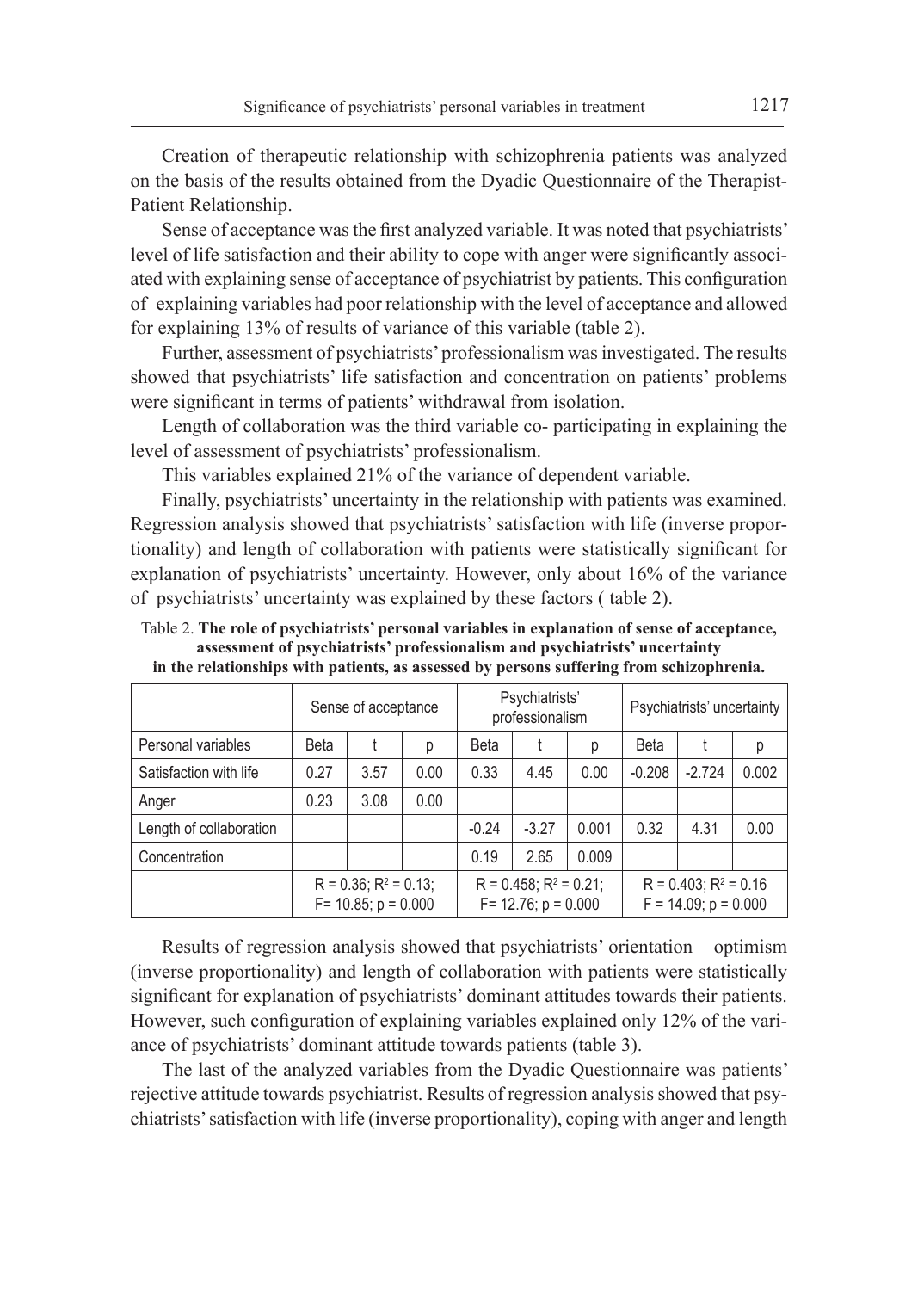Creation of therapeutic relationship with schizophrenia patients was analyzed on the basis of the results obtained from the Dyadic Questionnaire of the Therapist-Patient Relationship.

Sense of acceptance was the first analyzed variable. It was noted that psychiatrists' level of life satisfaction and their ability to cope with anger were significantly associated with explaining sense of acceptance of psychiatrist by patients. This configuration of explaining variables had poor relationship with the level of acceptance and allowed for explaining 13% of results of variance of this variable (table 2).

Further, assessment of psychiatrists' professionalism was investigated. The results showed that psychiatrists' life satisfaction and concentration on patients' problems were significant in terms of patients' withdrawal from isolation.

Length of collaboration was the third variable co- participating in explaining the level of assessment of psychiatrists' professionalism.

This variables explained 21% of the variance of dependent variable.

Finally, psychiatrists' uncertainty in the relationship with patients was examined. Regression analysis showed that psychiatrists' satisfaction with life (inverse proportionality) and length of collaboration with patients were statistically significant for explanation of psychiatrists' uncertainty. However, only about 16% of the variance of psychiatrists' uncertainty was explained by these factors ( table 2).

Table 2. **The role of psychiatrists' personal variables in explanation of sense of acceptance, assessment of psychiatrists' professionalism and psychiatrists' uncertainty in the relationships with patients, as assessed by persons suffering from schizophrenia.**

|                         |                                                          | Sense of acceptance |      | Psychiatrists'<br>professionalism                         |         |       | Psychiatrists' uncertainty                              |          |       |
|-------------------------|----------------------------------------------------------|---------------------|------|-----------------------------------------------------------|---------|-------|---------------------------------------------------------|----------|-------|
| Personal variables      | <b>Beta</b>                                              |                     | р    | <b>Beta</b>                                               |         | р     | <b>Beta</b>                                             |          | р     |
| Satisfaction with life  | 0.27                                                     | 3.57                | 0.00 | 0.33                                                      | 4.45    | 0.00  | $-0.208$                                                | $-2.724$ | 0.002 |
| Anger                   | 0.23                                                     | 3.08                | 0.00 |                                                           |         |       |                                                         |          |       |
| Length of collaboration |                                                          |                     |      | $-0.24$                                                   | $-3.27$ | 0.001 | 0.32                                                    | 4.31     | 0.00  |
| Concentration           |                                                          |                     |      | 0.19                                                      | 2.65    | 0.009 |                                                         |          |       |
|                         | $R = 0.36$ ; $R^2 = 0.13$ ;<br>$F = 10.85$ ; $p = 0.000$ |                     |      | $R = 0.458$ ; $R^2 = 0.21$ ;<br>$F = 12.76$ ; $p = 0.000$ |         |       | $R = 0.403$ ; $R^2 = 0.16$<br>$F = 14.09$ ; $p = 0.000$ |          |       |

Results of regression analysis showed that psychiatrists' orientation – optimism (inverse proportionality) and length of collaboration with patients were statistically significant for explanation of psychiatrists' dominant attitudes towards their patients. However, such configuration of explaining variables explained only 12% of the variance of psychiatrists' dominant attitude towards patients (table 3).

The last of the analyzed variables from the Dyadic Questionnaire was patients' rejective attitude towards psychiatrist. Results of regression analysis showed that psychiatrists' satisfaction with life (inverse proportionality), coping with anger and length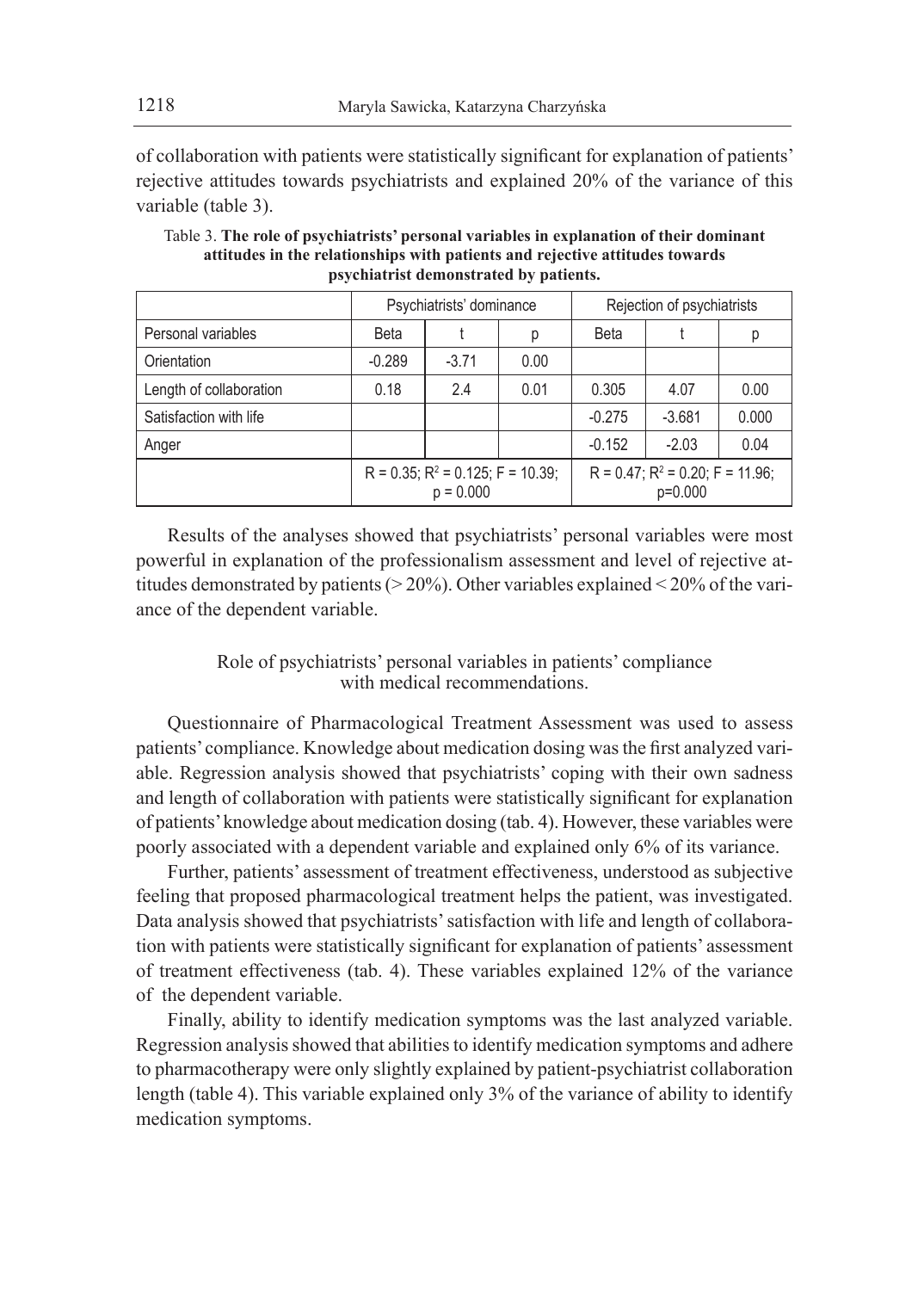of collaboration with patients were statistically significant for explanation of patients' rejective attitudes towards psychiatrists and explained 20% of the variance of this variable (table 3).

|                         |                  | Psychiatrists' dominance                                  |             | Rejection of psychiatrists                           |          |       |  |
|-------------------------|------------------|-----------------------------------------------------------|-------------|------------------------------------------------------|----------|-------|--|
| Personal variables      | <b>Beta</b><br>р |                                                           | <b>Beta</b> |                                                      | р        |       |  |
| Orientation             | $-0.289$         | $-3.71$                                                   | 0.00        |                                                      |          |       |  |
| Length of collaboration | 0.18             | 2.4                                                       | 0.01        | 0.305                                                | 4.07     | 0.00  |  |
| Satisfaction with life  |                  |                                                           |             | $-0.275$                                             | $-3.681$ | 0.000 |  |
| Anger                   |                  |                                                           |             | $-0.152$                                             | $-2.03$  | 0.04  |  |
|                         |                  | $R = 0.35$ ; $R^2 = 0.125$ ; $F = 10.39$ ;<br>$p = 0.000$ |             | $R = 0.47$ ; $R^2 = 0.20$ ; $F = 11.96$ ;<br>p=0.000 |          |       |  |

Table 3. **The role of psychiatrists' personal variables in explanation of their dominant attitudes in the relationships with patients and rejective attitudes towards psychiatrist demonstrated by patients.**

Results of the analyses showed that psychiatrists' personal variables were most powerful in explanation of the professionalism assessment and level of rejective attitudes demonstrated by patients ( $>$  20%). Other variables explained  $<$  20% of the variance of the dependent variable.

# Role of psychiatrists' personal variables in patients' compliance with medical recommendations.

Questionnaire of Pharmacological Treatment Assessment was used to assess patients' compliance. Knowledge about medication dosing was the first analyzed variable. Regression analysis showed that psychiatrists' coping with their own sadness and length of collaboration with patients were statistically significant for explanation of patients' knowledge about medication dosing (tab. 4). However, these variables were poorly associated with a dependent variable and explained only 6% of its variance.

Further, patients' assessment of treatment effectiveness, understood as subjective feeling that proposed pharmacological treatment helps the patient, was investigated. Data analysis showed that psychiatrists' satisfaction with life and length of collaboration with patients were statistically significant for explanation of patients' assessment of treatment effectiveness (tab. 4). These variables explained 12% of the variance of the dependent variable.

Finally, ability to identify medication symptoms was the last analyzed variable. Regression analysis showed that abilities to identify medication symptoms and adhere to pharmacotherapy were only slightly explained by patient-psychiatrist collaboration length (table 4). This variable explained only 3% of the variance of ability to identify medication symptoms.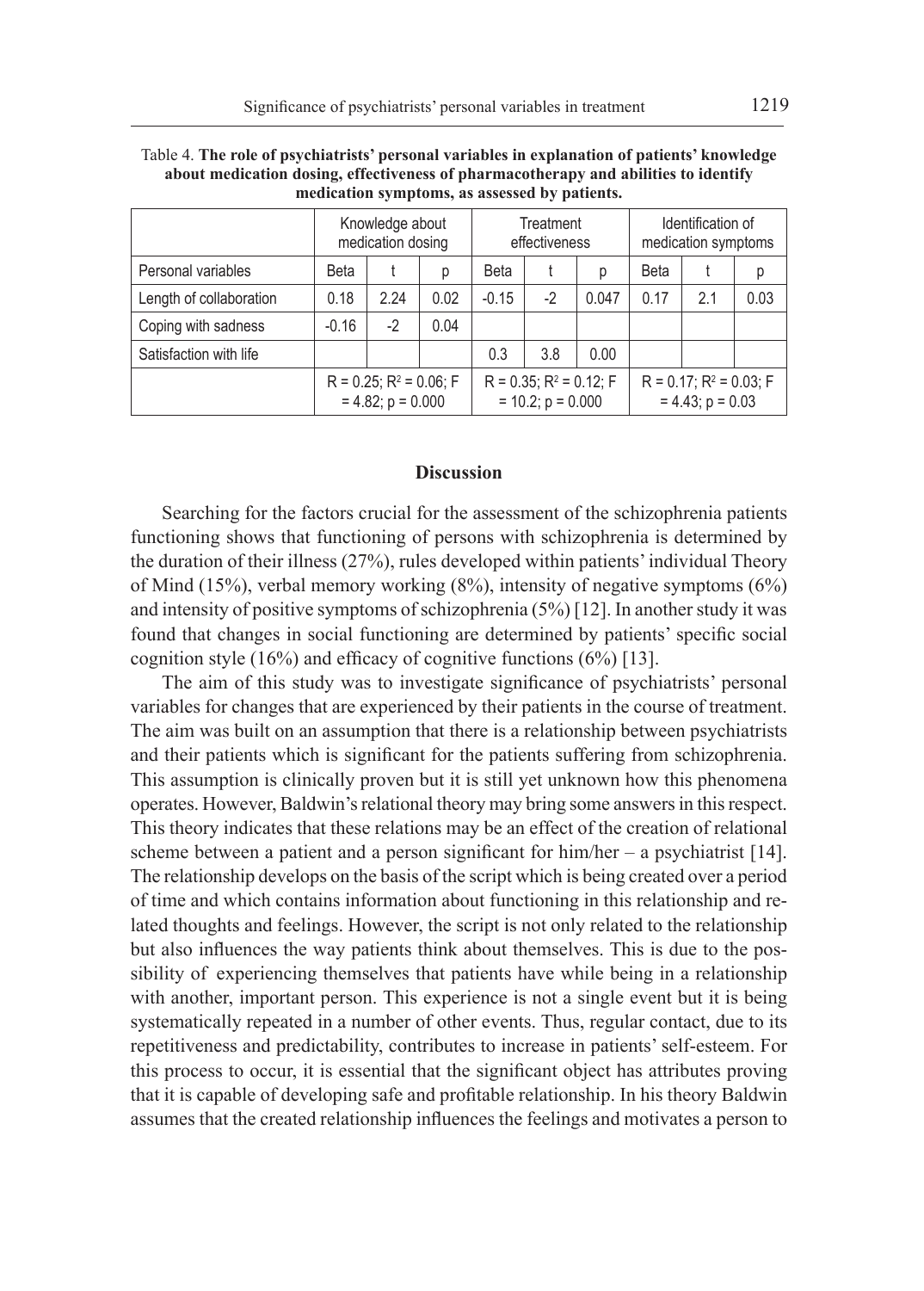|                         | Knowledge about<br>medication dosing                    |      | Treatment<br>effectiveness |                                                         |      | Identification of<br>medication symptoms |                                                        |     |      |
|-------------------------|---------------------------------------------------------|------|----------------------------|---------------------------------------------------------|------|------------------------------------------|--------------------------------------------------------|-----|------|
| Personal variables      | Beta                                                    |      | р                          | <b>Beta</b>                                             |      | р                                        | Beta                                                   |     | р    |
| Length of collaboration | 0.18                                                    | 2.24 | 0.02                       | $-0.15$                                                 | $-2$ | 0.047                                    | 0.17                                                   | 2.1 | 0.03 |
| Coping with sadness     | $-0.16$                                                 | $-2$ | 0.04                       |                                                         |      |                                          |                                                        |     |      |
| Satisfaction with life  |                                                         |      |                            | 0.3                                                     | 3.8  | 0.00                                     |                                                        |     |      |
|                         | $R = 0.25$ ; $R^2 = 0.06$ ; F<br>$= 4.82$ ; $p = 0.000$ |      |                            | $R = 0.35$ ; $R^2 = 0.12$ ; F<br>$= 10.2$ ; $p = 0.000$ |      |                                          | $R = 0.17$ ; $R^2 = 0.03$ ; F<br>$= 4.43$ ; $p = 0.03$ |     |      |

| Table 4. The role of psychiatrists' personal variables in explanation of patients' knowledge |
|----------------------------------------------------------------------------------------------|
| about medication dosing, effectiveness of pharmacotherapy and abilities to identify          |
| medication symptoms, as assessed by patients.                                                |

### **Discussion**

Searching for the factors crucial for the assessment of the schizophrenia patients functioning shows that functioning of persons with schizophrenia is determined by the duration of their illness (27%), rules developed within patients' individual Theory of Mind (15%), verbal memory working (8%), intensity of negative symptoms (6%) and intensity of positive symptoms of schizophrenia (5%) [12]. In another study it was found that changes in social functioning are determined by patients' specific social cognition style (16%) and efficacy of cognitive functions  $(6\%)$  [13].

The aim of this study was to investigate significance of psychiatrists' personal variables for changes that are experienced by their patients in the course of treatment. The aim was built on an assumption that there is a relationship between psychiatrists and their patients which is significant for the patients suffering from schizophrenia. This assumption is clinically proven but it is still yet unknown how this phenomena operates. However, Baldwin's relational theory may bring some answers in this respect. This theory indicates that these relations may be an effect of the creation of relational scheme between a patient and a person significant for  $him/her - a$  psychiatrist [14]. The relationship develops on the basis of the script which is being created over a period of time and which contains information about functioning in this relationship and related thoughts and feelings. However, the script is not only related to the relationship but also influences the way patients think about themselves. This is due to the possibility of experiencing themselves that patients have while being in a relationship with another, important person. This experience is not a single event but it is being systematically repeated in a number of other events. Thus, regular contact, due to its repetitiveness and predictability, contributes to increase in patients' self-esteem. For this process to occur, it is essential that the significant object has attributes proving that it is capable of developing safe and profitable relationship. In his theory Baldwin assumes that the created relationship influences the feelings and motivates a person to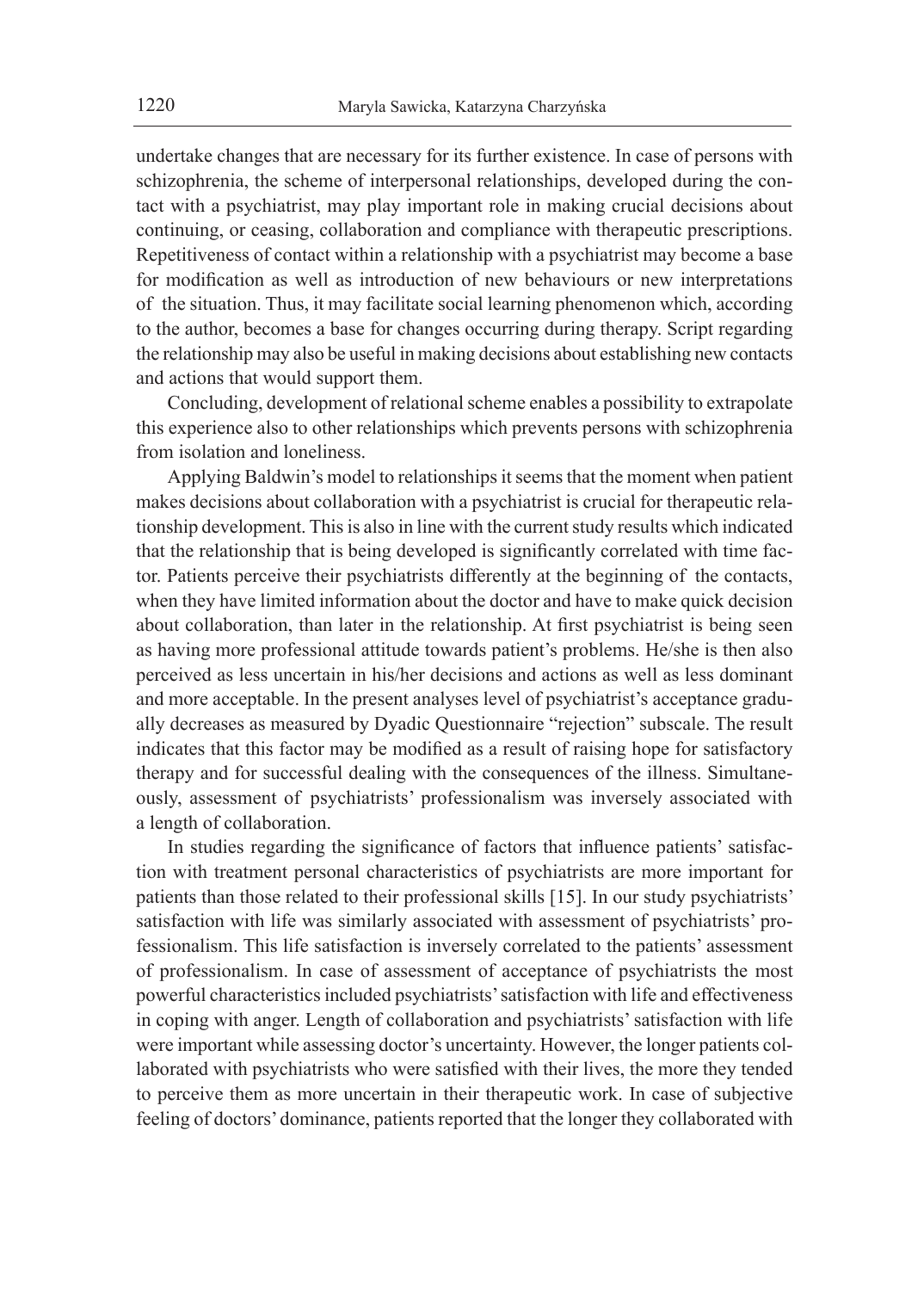undertake changes that are necessary for its further existence. In case of persons with schizophrenia, the scheme of interpersonal relationships, developed during the contact with a psychiatrist, may play important role in making crucial decisions about continuing, or ceasing, collaboration and compliance with therapeutic prescriptions. Repetitiveness of contact within a relationship with a psychiatrist may become a base for modification as well as introduction of new behaviours or new interpretations of the situation. Thus, it may facilitate social learning phenomenon which, according to the author, becomes a base for changes occurring during therapy. Script regarding the relationship may also be useful in making decisions about establishing new contacts and actions that would support them.

Concluding, development of relational scheme enables a possibility to extrapolate this experience also to other relationships which prevents persons with schizophrenia from isolation and loneliness.

Applying Baldwin's model to relationships it seems that the moment when patient makes decisions about collaboration with a psychiatrist is crucial for therapeutic relationship development. This is also in line with the current study results which indicated that the relationship that is being developed is significantly correlated with time factor. Patients perceive their psychiatrists differently at the beginning of the contacts, when they have limited information about the doctor and have to make quick decision about collaboration, than later in the relationship. At first psychiatrist is being seen as having more professional attitude towards patient's problems. He/she is then also perceived as less uncertain in his/her decisions and actions as well as less dominant and more acceptable. In the present analyses level of psychiatrist's acceptance gradually decreases as measured by Dyadic Questionnaire "rejection" subscale. The result indicates that this factor may be modified as a result of raising hope for satisfactory therapy and for successful dealing with the consequences of the illness. Simultaneously, assessment of psychiatrists' professionalism was inversely associated with a length of collaboration.

In studies regarding the significance of factors that influence patients' satisfaction with treatment personal characteristics of psychiatrists are more important for patients than those related to their professional skills [15]. In our study psychiatrists' satisfaction with life was similarly associated with assessment of psychiatrists' professionalism. This life satisfaction is inversely correlated to the patients' assessment of professionalism. In case of assessment of acceptance of psychiatrists the most powerful characteristics included psychiatrists' satisfaction with life and effectiveness in coping with anger. Length of collaboration and psychiatrists' satisfaction with life were important while assessing doctor's uncertainty. However, the longer patients collaborated with psychiatrists who were satisfied with their lives, the more they tended to perceive them as more uncertain in their therapeutic work. In case of subjective feeling of doctors' dominance, patients reported that the longer they collaborated with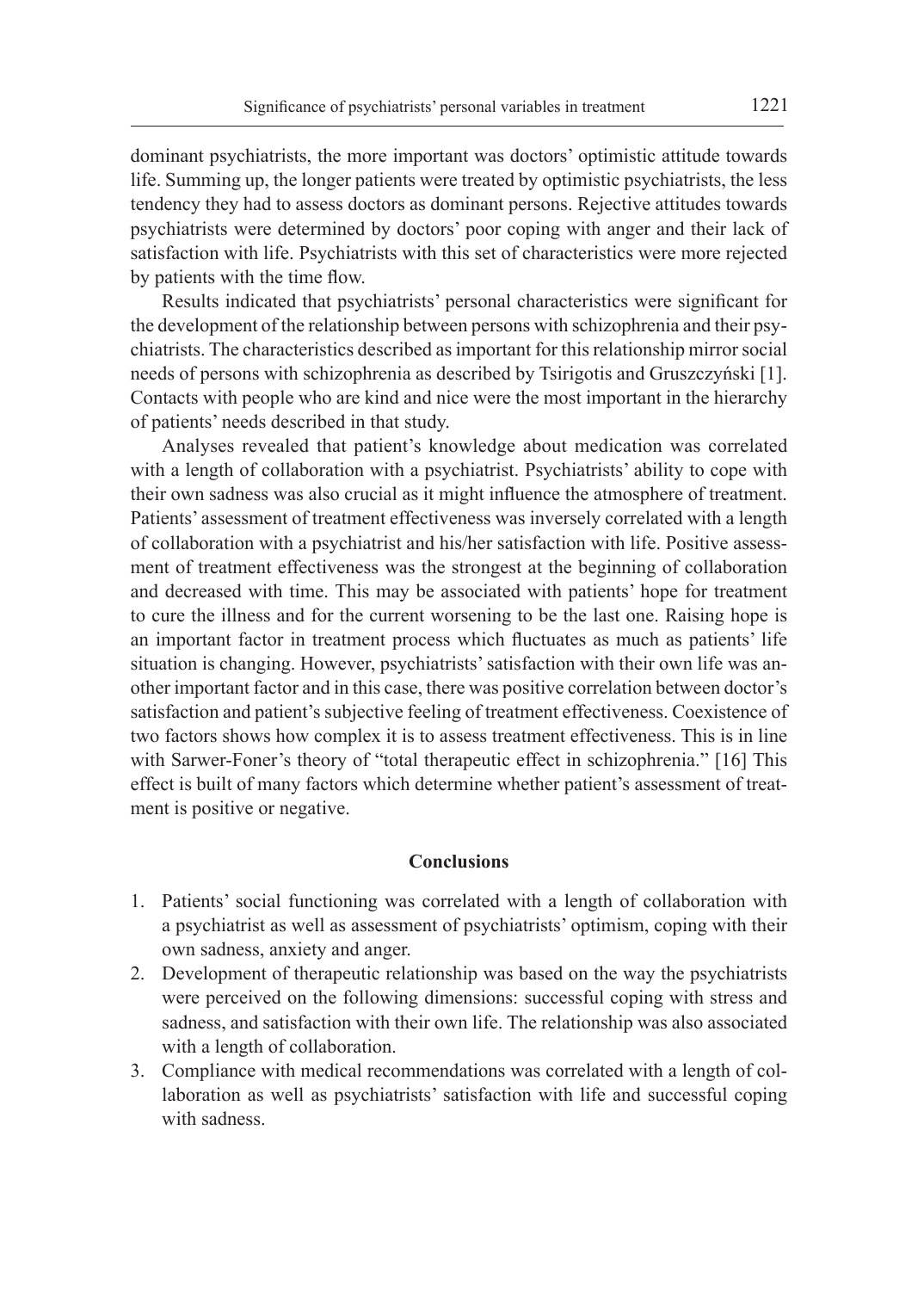dominant psychiatrists, the more important was doctors' optimistic attitude towards life. Summing up, the longer patients were treated by optimistic psychiatrists, the less tendency they had to assess doctors as dominant persons. Rejective attitudes towards psychiatrists were determined by doctors' poor coping with anger and their lack of satisfaction with life. Psychiatrists with this set of characteristics were more rejected by patients with the time flow.

Results indicated that psychiatrists' personal characteristics were significant for the development of the relationship between persons with schizophrenia and their psychiatrists. The characteristics described as important for this relationship mirror social needs of persons with schizophrenia as described by Tsirigotis and Gruszczyński [1]. Contacts with people who are kind and nice were the most important in the hierarchy of patients' needs described in that study.

Analyses revealed that patient's knowledge about medication was correlated with a length of collaboration with a psychiatrist. Psychiatrists' ability to cope with their own sadness was also crucial as it might influence the atmosphere of treatment. Patients' assessment of treatment effectiveness was inversely correlated with a length of collaboration with a psychiatrist and his/her satisfaction with life. Positive assessment of treatment effectiveness was the strongest at the beginning of collaboration and decreased with time. This may be associated with patients' hope for treatment to cure the illness and for the current worsening to be the last one. Raising hope is an important factor in treatment process which fluctuates as much as patients' life situation is changing. However, psychiatrists' satisfaction with their own life was another important factor and in this case, there was positive correlation between doctor's satisfaction and patient's subjective feeling of treatment effectiveness. Coexistence of two factors shows how complex it is to assess treatment effectiveness. This is in line with Sarwer-Foner's theory of "total therapeutic effect in schizophrenia." [16] This effect is built of many factors which determine whether patient's assessment of treatment is positive or negative.

#### **Conclusions**

- 1. Patients' social functioning was correlated with a length of collaboration with a psychiatrist as well as assessment of psychiatrists' optimism, coping with their own sadness, anxiety and anger.
- 2. Development of therapeutic relationship was based on the way the psychiatrists were perceived on the following dimensions: successful coping with stress and sadness, and satisfaction with their own life. The relationship was also associated with a length of collaboration.
- 3. Compliance with medical recommendations was correlated with a length of collaboration as well as psychiatrists' satisfaction with life and successful coping with sadness.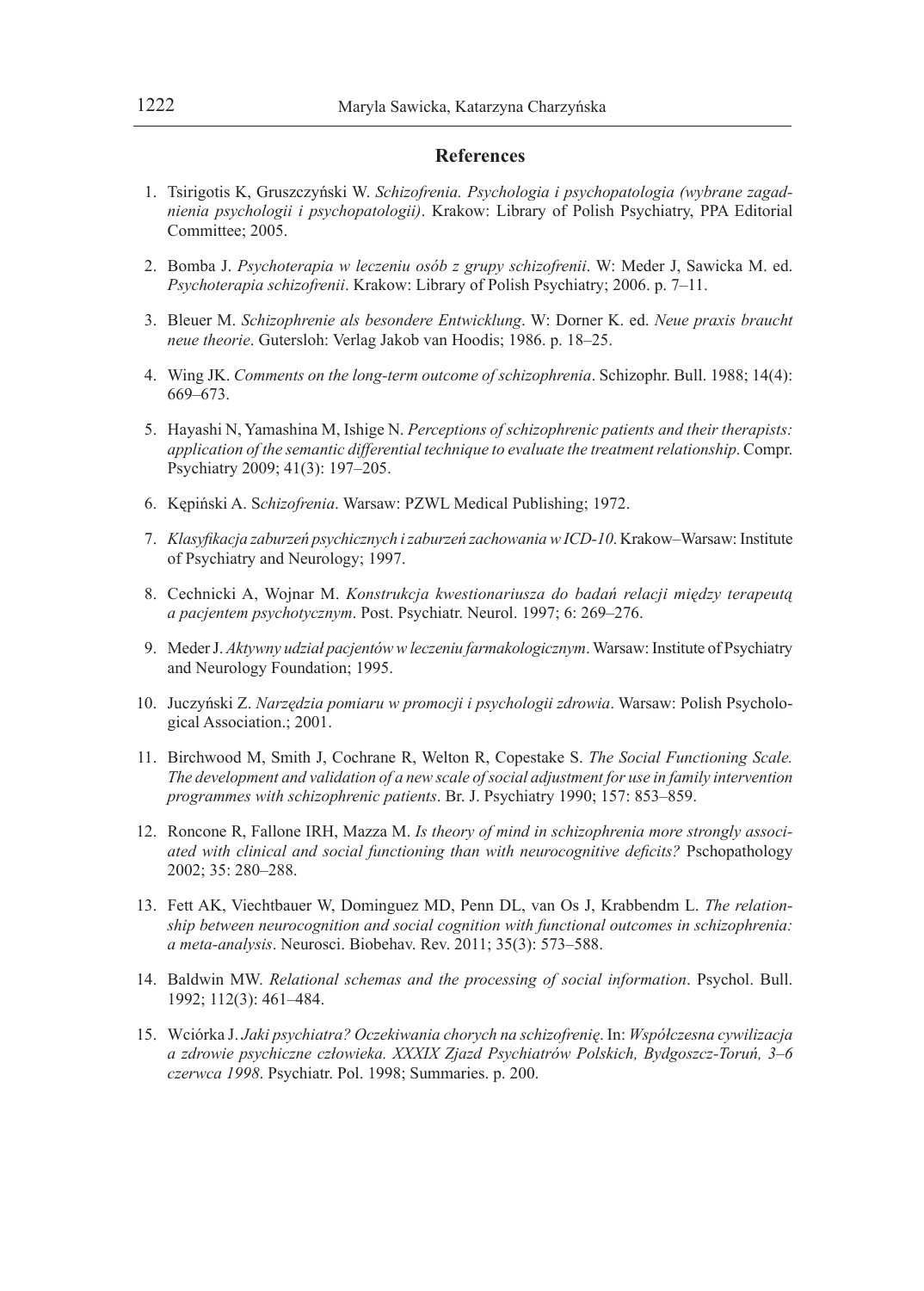# **References**

- 1. Tsirigotis K, Gruszczyński W. *Schizofrenia. Psychologia i psychopatologia (wybrane zagadnienia psychologii i psychopatologii)*. Krakow: Library of Polish Psychiatry, PPA Editorial Committee; 2005.
- 2. Bomba J. *Psychoterapia w leczeniu osób z grupy schizofrenii*. W: Meder J, Sawicka M. ed. *Psychoterapia schizofrenii*. Krakow: Library of Polish Psychiatry; 2006. p. 7–11.
- 3. Bleuer M. *Schizophrenie als besondere Entwicklung*. W: Dorner K. ed. *Neue praxis braucht neue theorie*. Gutersloh: Verlag Jakob van Hoodis; 1986. p. 18–25.
- 4. Wing JK. *Comments on the long-term outcome of schizophrenia*. Schizophr. Bull. 1988; 14(4): 669–673.
- 5. Hayashi N, Yamashina M, Ishige N. *Perceptions of schizophrenic patients and their therapists: application of the semantic differential technique to evaluate the treatment relationship*. Compr. Psychiatry 2009; 41(3): 197–205.
- 6. Kępiński A. S*chizofrenia*. Warsaw: PZWL Medical Publishing; 1972.
- 7. *Klasyfikacja zaburzeń psychicznych i zaburzeń zachowania w ICD-10*. Krakow–Warsaw: Institute of Psychiatry and Neurology; 1997.
- 8. Cechnicki A, Wojnar M. *Konstrukcja kwestionariusza do badań relacji między terapeutą a pacjentem psychotycznym*. Post. Psychiatr. Neurol. 1997; 6: 269–276.
- 9. Meder J. *Aktywny udział pacjentów w leczeniu farmakologicznym*. Warsaw: Institute of Psychiatry and Neurology Foundation; 1995.
- 10. Juczyński Z. *Narzędzia pomiaru w promocji i psychologii zdrowia*. Warsaw: Polish Psychological Association.; 2001.
- 11. Birchwood M, Smith J, Cochrane R, Welton R, Copestake S. *The Social Functioning Scale. The development and validation of a new scale of social adjustment for use in family intervention programmes with schizophrenic patients*. Br. J. Psychiatry 1990; 157: 853–859.
- 12. Roncone R, Fallone IRH, Mazza M. *Is theory of mind in schizophrenia more strongly associated with clinical and social functioning than with neurocognitive deficits?* Pschopathology 2002; 35: 280–288.
- 13. Fett AK, Viechtbauer W, Dominguez MD, Penn DL, van Os J, Krabbendm L. *The relationship between neurocognition and social cognition with functional outcomes in schizophrenia: a meta-analysis*. Neurosci. Biobehav. Rev. 2011; 35(3): 573–588.
- 14. Baldwin MW. *Relational schemas and the processing of social information*. Psychol. Bull. 1992; 112(3): 461–484.
- 15. Wciórka J. *Jaki psychiatra? Oczekiwania chorych na schizofrenię*. In: *Współczesna cywilizacja a zdrowie psychiczne człowieka. XXXIX Zjazd Psychiatrów Polskich, Bydgoszcz-Toruń, 3–6 czerwca 1998*. Psychiatr. Pol. 1998; Summaries. p. 200.